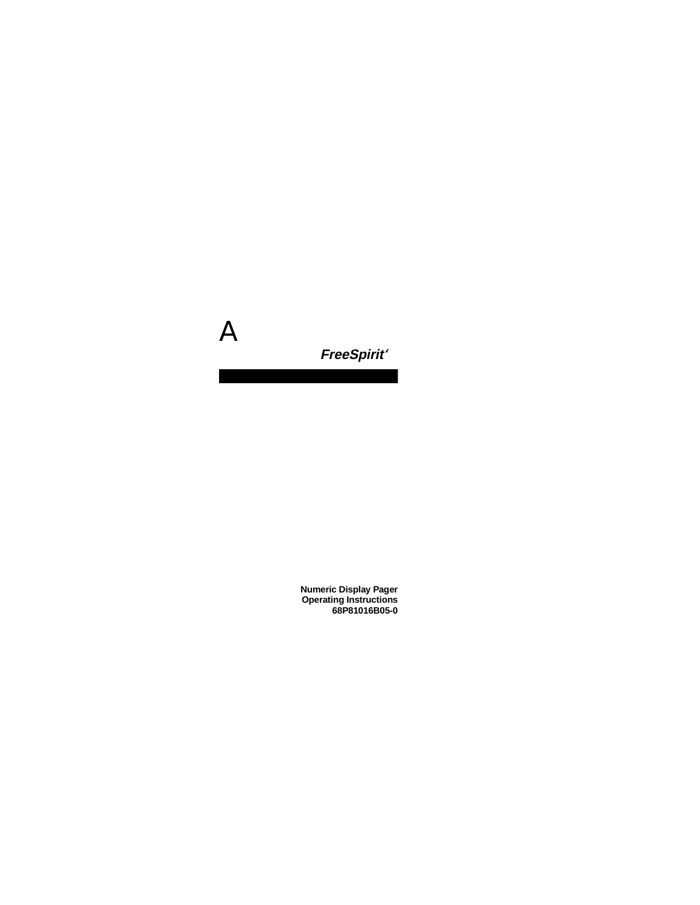

# **FreeSpirit**

**Numeric Display Pager Operating Instructions 68P81016B05-0**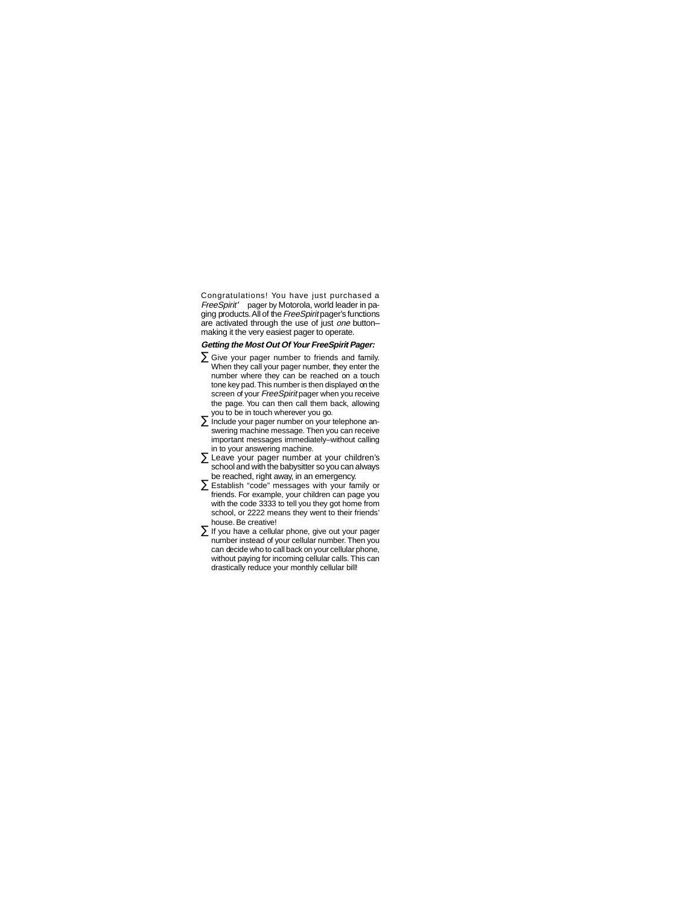Congratulations! You have just purchased a  $Free$ Spirit<sup>TM</sup> pager by Motorola, world leader in paging products. All of the FreeSpirit pager's functions are activated through the use of just one buttonmaking it the very easiest pager to operate.

## **Getting the Most Out Of Your FreeSpirit Pager:**

- Give your pager number to friends and family. When they call your pager number, they enter the number where they can be reached on a touch tone key pad. This number is then displayed on the screen of your FreeSpirit pager when you receive the page. You can then call them back, allowing you to be in touch wherever you go.
- Include your pager number on your telephone answering machine message. Then you can receive important messages immediately–without calling in to your answering machine.
- Leave your pager number at your children's school and with the babysitter so you can always be reached, right away, in an emergency.
- Establish "code" messages with your family or friends. For example, your children can page you with the code 3333 to tell you they got home from school, or 2222 means they went to their friends' house. Be creative!
- If you have a cellular phone, give out your pager number instead of your cellular number. Then you can decide who to call back on your cellular phone, without paying for incoming cellular calls. This can drastically reduce your monthly cellular bill!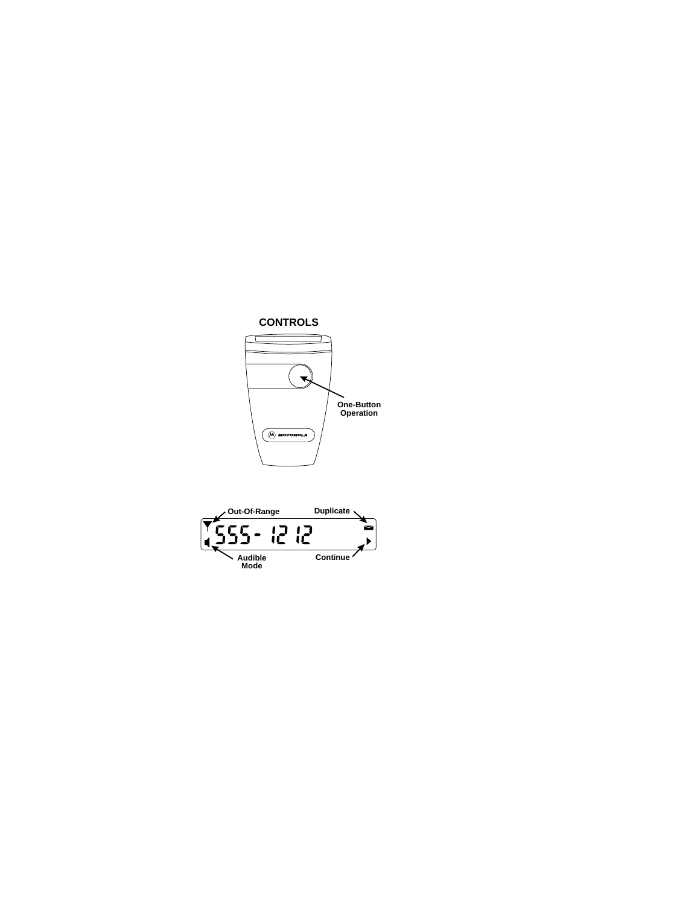

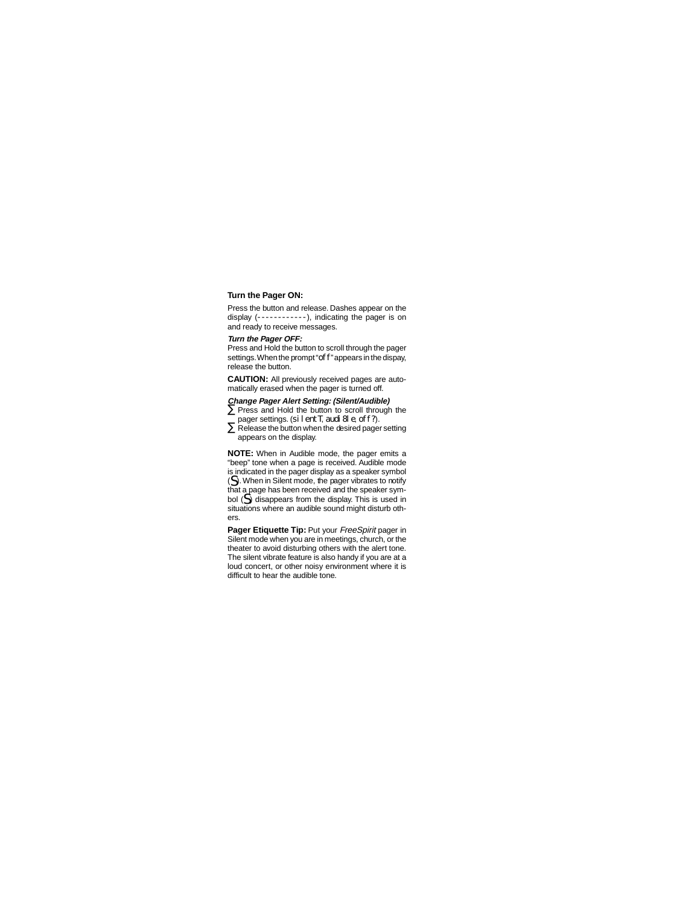# **Turn the Pager ON:**

Press the button and release. Dashes appear on the display (------------), indicating the pager is on and ready to receive messages.

## **Turn the Pager OFF:**

Press and Hold the button to scroll through the pager settings. When the prompt "off" appears in the dispay. release the button.

**CAUTION:** All previously received pages are automatically erased when the pager is turned off.

## **Change Pager Alert Setting: (Silent/Audible)**

- Press and Hold the button to scroll through the pager settings. (silentT, audi8le, off?).
- Release the button when the desired pager setting appears on the display.

**NOTE:** When in Audible mode, the pager emits a "beep" tone when a page is received. Audible mode is indicated in the pager display as a speaker symbol  $(\subseteq)$ . When in Silent mode, the pager vibrates to notify that a page has been received and the speaker symbol  $(\tilde{\le})$  disappears from the display. This is used in situations where an audible sound might disturb others.

**Pager Etiquette Tip: Put your FreeSpirit pager in** Silent mode when you are in meetings, church, or the theater to avoid disturbing others with the alert tone. The silent vibrate feature is also handy if you are at a loud concert, or other noisy environment where it is difficult to hear the audible tone.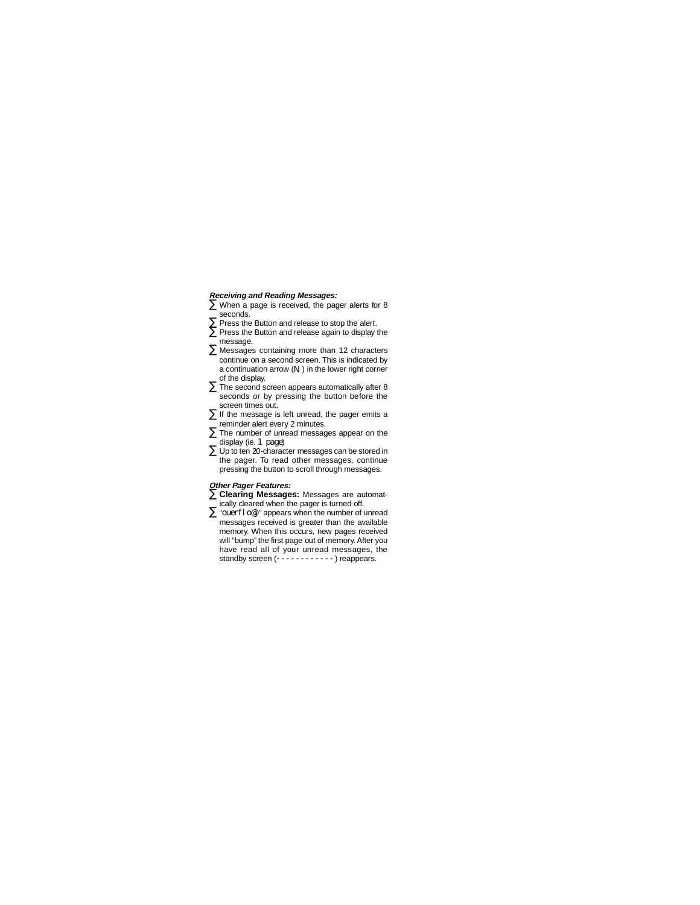## **Receiving and Reading Messages:**

- When a page is received, the pager alerts for 8 seconds.
- Press the Button and release to stop the alert.
- Press the Button and release again to display the message.
- Messages containing more than 12 characters continue on a second screen. This is indicated by a continuation arrow  $(\mathbf{N})$  in the lower right corner of the display.
- The second screen appears automatically after 8 seconds or by pressing the button before the screen times out.
- If the message is left unread, the pager emits a reminder alert every 2 minutes.
- The number of unread messages appear on the display (ie. 1 page)
- Up to ten 20-character messages can be stored in the pager. To read other messages, continue pressing the button to scroll through messages.

#### **Other Pager Features:**

- **Clearing Messages:** Messages are automatically cleared when the pager is turned off.
- **•** "ouerflo@j" appears when the number of unread messages received is greater than the available memory. When this occurs, new pages received will "bump" the first page out of memory. After you have read all of your unread messages, the standby screen (-------------) reappears.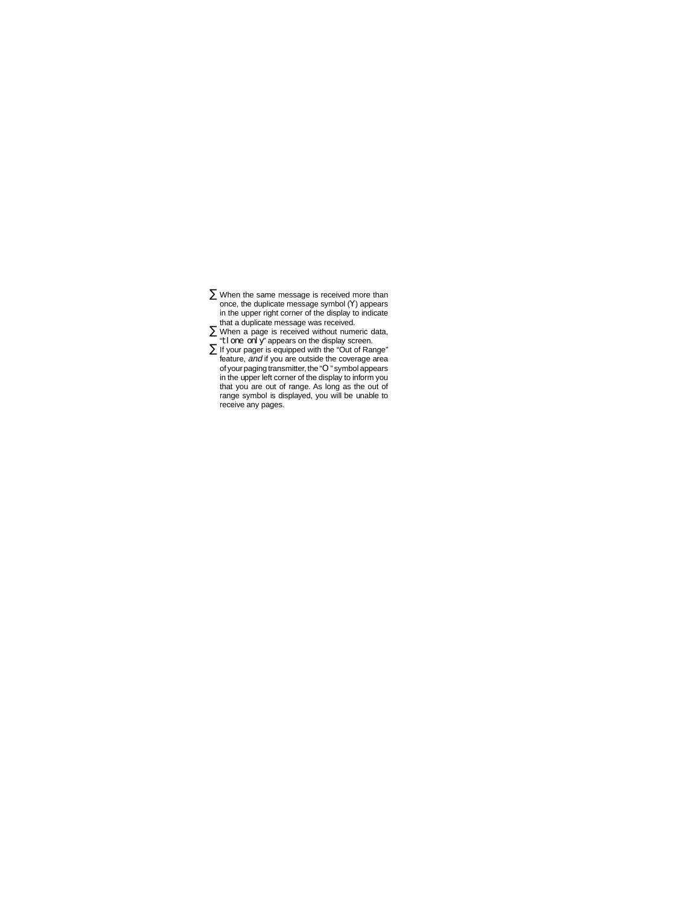- When the same message is received more than once, the duplicate message symbol  $(\gamma)$  appears in the upper right corner of the display to indicate that a duplicate message was received.
- When a page is received without numeric data, "til one only" appears on the display screen.
- If your pager is equipped with the "Out of Range" feature, and if you are outside the coverage area of your paging transmitter, the "O" symbol appears in the upper left corner of the display to inform you that you are out of range. As long as the out of range symbol is displayed, you will be unable to receive any pages.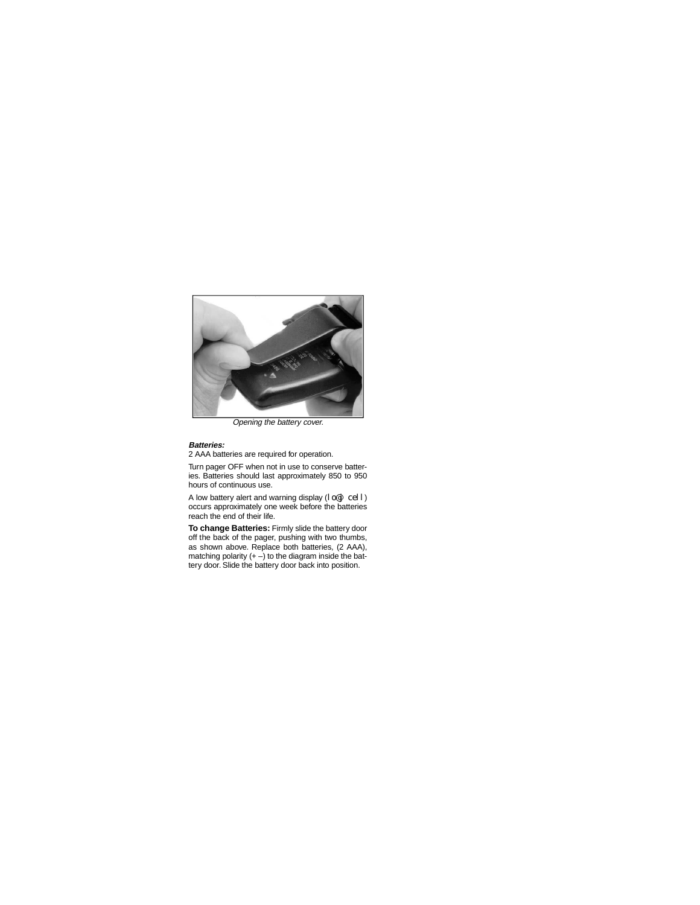

Opening the battery cover.

#### **Batteries:**

2 AAA batteries are required for operation.

Turn pager OFF when not in use to conserve batteries. Batteries should last approximately 850 to 950 hours of continuous use.

A low battery alert and warning display  $(|\circ\textcirc| \circ\text{e}||)$ occurs approximately one week before the batteries reach the end of their life.

**To change Batteries:** Firmly slide the battery door off the back of the pager, pushing with two thumbs, as shown above. Replace both batteries, (2 AAA), matching polarity  $(+)$  to the diagram inside the battery door. Slide the battery door back into position.